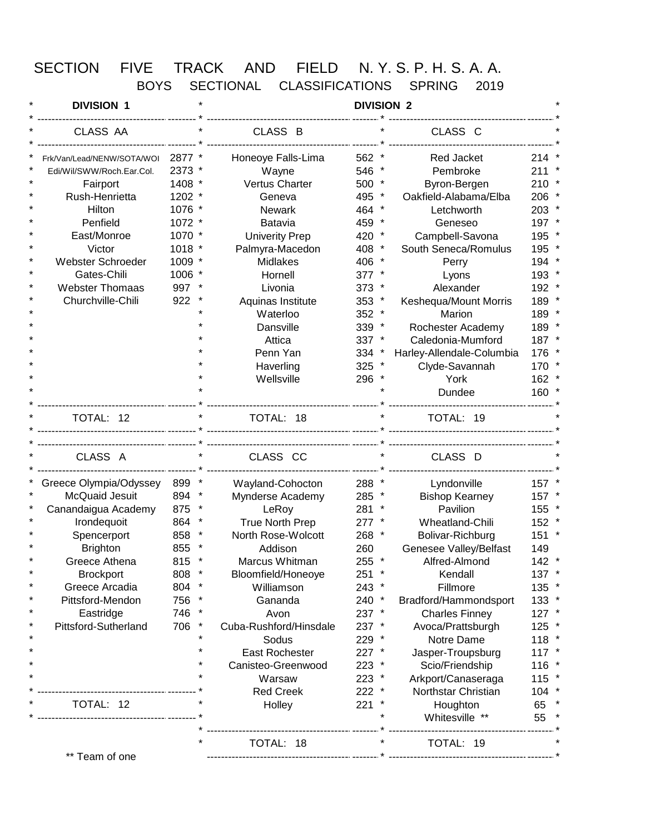## SECTION FIVE TRACK AND FIELD N. Y. S. P. H. S. A. A. BOYS SECTIONAL CLASSIFICATIONS SPRING 2019

\* **DIVISION 1** \* **DIVISION 2** \* \* ------------------------------------------------- --------------- \*--------------------------------------------- --------------- \* ------------------------------------------------- --------------- \* \* CLASS AA \* CLASS B \* CLASS C \* \* ------------------------------------------------- --------------- \*--------------------------------------------- --------------- \* ------------------------------------------------- --------------- \* \* Frk/Van/Lead/NENW/SOTA/WOI 2877 \* Honeoye Falls-Lima 562 \* Red Jacket 214 \* \* Edi/Wil/SWW/Roch.Ear.Col. 2373 \* Wayne 546 \* Pembroke 211 \* \* Fairport 1408 \* Vertus Charter 500 \* Byron-Bergen 210 \* \* Rush-Henrietta 1202 \* Geneva 495 \* Oakfield-Alabama/Elba 206 \* \* Hilton 1076 \* Newark 464 \* Letchworth 203 \* \* Penfield 1072 \* Batavia 459 \* Geneseo 197 \* \* East/Monroe 1070 \* Univerity Prep 420 \* Campbell-Savona 195 \* Victor 1018 \* Palmyra-Macedon 408 \* South Seneca/Romulus 195 \* Webster Schroeder 1009 \* Midlakes 406 \* Perry 194 \* \* Gates-Chili 1006 \* Hornell 377 \* Lyons 193 \* \* Webster Thomaas 997 \* Livonia 373 \* Alexander 192 \* \* Churchville-Chili 922 \* Aquinas Institute 353 \* Keshequa/Mount Morris 189 \* \* \* Waterloo 352 \* Marion 189 \* Dansville 339 \* Rochester Academy 189 \* Attica **337 \*** Caledonia-Mumford 187 \* \* Penn Yan 334 \* Harley-Allendale-Columbia 176 \* Haverling 325<sup>\*</sup> Clyde-Savannah 170<sup>\*</sup> \* \* Wellsville 296 \* York 162 \* \* \*  $\hspace{1.5mm}$  \*  $\hspace{1.5mm}$   $\hspace{1.5mm}$   $\hspace{1.5mm}$   $\hspace{1.5mm}$   $\hspace{1.5mm}$   $\hspace{1.5mm}$   $\hspace{1.5mm}$   $\hspace{1.5mm}$   $\hspace{1.5mm}$   $\hspace{1.5mm}$   $\hspace{1.5mm}$   $\hspace{1.5mm}$   $\hspace{1.5mm}$   $\hspace{1.5mm}$   $\hspace{1.5mm}$   $\hspace{1.5mm}$   $\hspace{1.5mm}$ \* ------------------------------------------------- --------------- \*--------------------------------------------- --------------- \* ------------------------------------------------- --------------- \* \* TOTAL: 12 \* TOTAL: 18 \* TOTAL: 19 \* \* ------------------------------------------------- --------------- \*--------------------------------------------- --------------- \* ------------------------------------------------- --------------- \* \* ------------------------------------------------- --------------- \*--------------------------------------------- --------------- \* ------------------------------------------------- --------------- \* \* CLASS A \* CLASS CC \* CLASS D \* \* ------------------------------------------------- --------------- \*--------------------------------------------- --------------- \* ------------------------------------------------- --------------- \* Greece Olympia/Odyssey 899 \* Wayland-Cohocton 288 \* Lyndonville 157 \* \* McQuaid Jesuit 894 \* Mynderse Academy 285 \* Bishop Kearney 157 \* \* Canandaigua Academy 875 \* LeRoy 281 \* Pavilion 155 \* Canandaigua Academy 875 \* LeRoy 281 \* Pavilion 152 \* \* Irondequoit 864 \* True North Prep 277 \* Wheatland-Chili 152 \* Spencerport 858 \* North Rose-Wolcott 268 \* Bolivar-Richburg 151 \* Brighton <br>
Brighton 855 \* Addison 260 Genesee Valley/Belfast 149<br>

ece Athena 815 \* Marcus Whitman 255 \* Alfred-Almond 142 Greece Athena  $815$  \* Marcus Whitman 255 \* Alfred-Almond 142 \* Brockport 608 \* Bloomfield/Honeoye 251 \* Kendall 137 \* Greece Arcadia atas 804 \* Milliamson atas 243 \* Fillmore 5135<br>Pittsford-Mendon 2756 \* Gananda 240 \* Bradford/Hammondsport 133 \* Pittsford-Mendon 756 \* Gananda 240 \* Bradford/Hammondsport 133 \* Eastridge 746 \* Avon 237 \* Charles Finney 127 \* \* Pittsford-Sutherland 706 \* Cuba-Rushford/Hinsdale 237 \* Avoca/Prattsburgh 125 \* \* The solution of the Society of the Society of the Society of the Society of the Society of the Society of the Society of the Society of the Society of the Society of the Society of the Society of the Society of the Socie East Rochester 227 \* Jasper-Troupsburg 117 \* Canisteo-Greenwood 223 \* Scio/Friendship 116 \* Warsaw 223 \* Arkport/Canaseraga 115 \* \* ------------------------------------------------- --------------- \* Red Creek 222 \* Northstar Christian 104 \* \* TOTAL: 12 \* Holley 221 \* Houghton 65 \* \* ------------------------------------------------- --------------- \* \* Whitesville \*\* 55 \* \* ------------------------------------------------- --------------- \* ------------------------------------------------- --------------- \* \* TOTAL: 18 \* TOTAL: 19 \*

\*\* Team of one ------------------------------------------------- --------------- \* ------------------------------------------------- --------------- \*